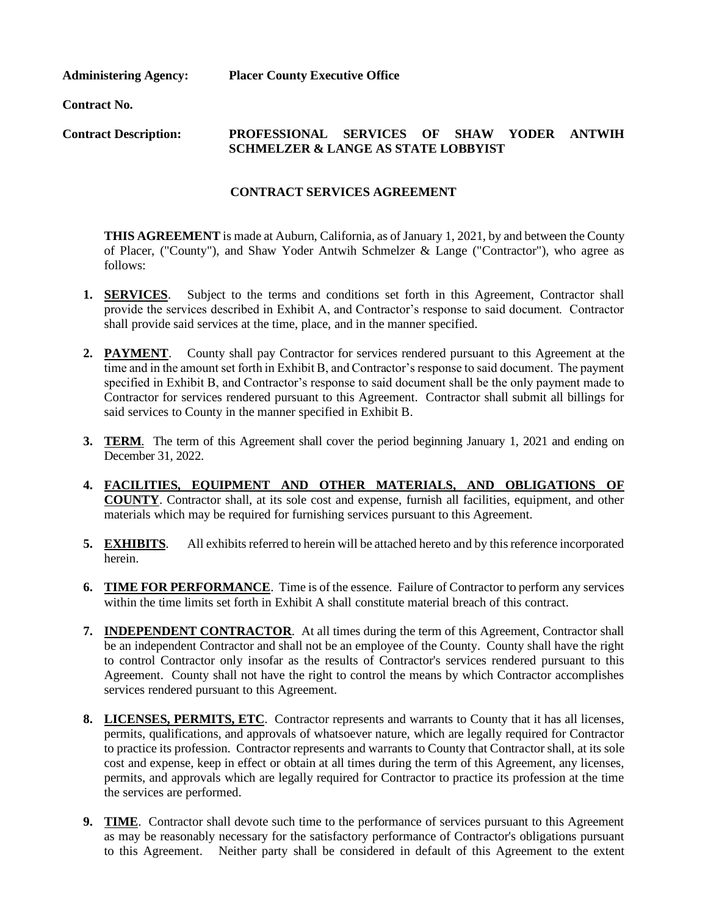**Administering Agency: Placer County Executive Office**

**Contract No.**

# **Contract Description: PROFESSIONAL SERVICES OF SHAW YODER ANTWIH SCHMELZER & LANGE AS STATE LOBBYIST**

### **CONTRACT SERVICES AGREEMENT**

**THIS AGREEMENT** is made at Auburn, California, as of January 1, 2021, by and between the County of Placer, ("County"), and Shaw Yoder Antwih Schmelzer & Lange ("Contractor"), who agree as follows:

- 1. **SERVICES**. Subject to the terms and conditions set forth in this Agreement, Contractor shall provide the services described in Exhibit A, and Contractor's response to said document. Contractor shall provide said services at the time, place, and in the manner specified.
- **2. PAYMENT**. County shall pay Contractor for services rendered pursuant to this Agreement at the time and in the amount set forth in Exhibit B, and Contractor's response to said document. The payment specified in Exhibit B, and Contractor's response to said document shall be the only payment made to Contractor for services rendered pursuant to this Agreement. Contractor shall submit all billings for said services to County in the manner specified in Exhibit B.
- **3. TERM**. The term of this Agreement shall cover the period beginning January 1, 2021 and ending on December 31, 2022.
- **4. FACILITIES, EQUIPMENT AND OTHER MATERIALS, AND OBLIGATIONS OF COUNTY**. Contractor shall, at its sole cost and expense, furnish all facilities, equipment, and other materials which may be required for furnishing services pursuant to this Agreement.
- **5. EXHIBITS**. All exhibits referred to herein will be attached hereto and by this reference incorporated herein.
- **6. TIME FOR PERFORMANCE**. Time is of the essence. Failure of Contractor to perform any services within the time limits set forth in Exhibit A shall constitute material breach of this contract.
- **7. INDEPENDENT CONTRACTOR**. At all times during the term of this Agreement, Contractor shall be an independent Contractor and shall not be an employee of the County. County shall have the right to control Contractor only insofar as the results of Contractor's services rendered pursuant to this Agreement. County shall not have the right to control the means by which Contractor accomplishes services rendered pursuant to this Agreement.
- **8. LICENSES, PERMITS, ETC**. Contractor represents and warrants to County that it has all licenses, permits, qualifications, and approvals of whatsoever nature, which are legally required for Contractor to practice its profession. Contractor represents and warrants to County that Contractor shall, at its sole cost and expense, keep in effect or obtain at all times during the term of this Agreement, any licenses, permits, and approvals which are legally required for Contractor to practice its profession at the time the services are performed.
- **9. TIME**. Contractor shall devote such time to the performance of services pursuant to this Agreement as may be reasonably necessary for the satisfactory performance of Contractor's obligations pursuant to this Agreement. Neither party shall be considered in default of this Agreement to the extent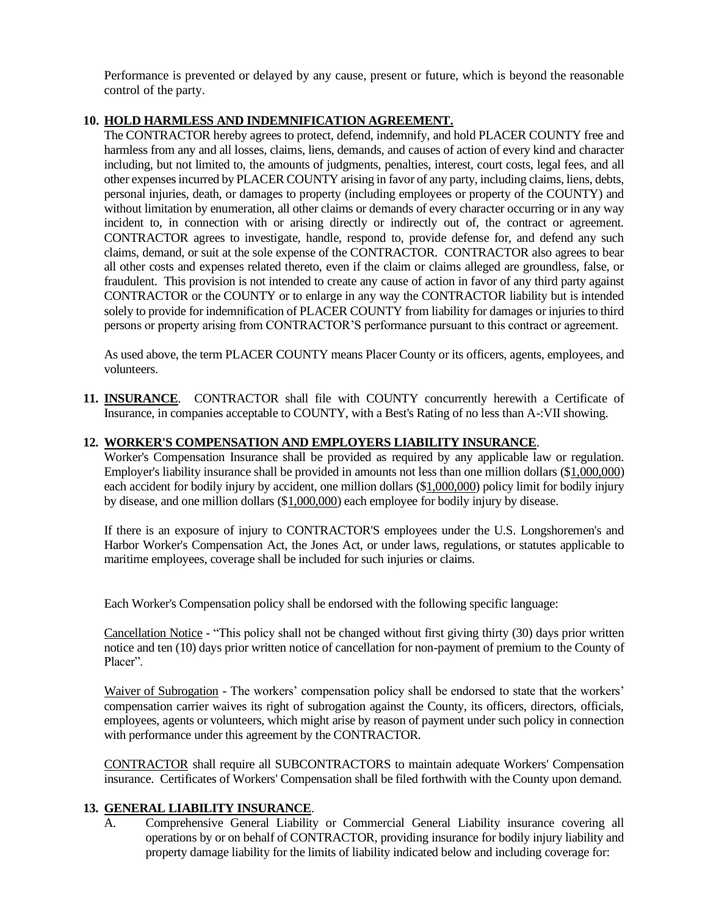Performance is prevented or delayed by any cause, present or future, which is beyond the reasonable control of the party.

# **10. HOLD HARMLESS AND INDEMNIFICATION AGREEMENT.**

The CONTRACTOR hereby agrees to protect, defend, indemnify, and hold PLACER COUNTY free and harmless from any and all losses, claims, liens, demands, and causes of action of every kind and character including, but not limited to, the amounts of judgments, penalties, interest, court costs, legal fees, and all other expenses incurred by PLACER COUNTY arising in favor of any party, including claims, liens, debts, personal injuries, death, or damages to property (including employees or property of the COUNTY) and without limitation by enumeration, all other claims or demands of every character occurring or in any way incident to, in connection with or arising directly or indirectly out of, the contract or agreement. CONTRACTOR agrees to investigate, handle, respond to, provide defense for, and defend any such claims, demand, or suit at the sole expense of the CONTRACTOR. CONTRACTOR also agrees to bear all other costs and expenses related thereto, even if the claim or claims alleged are groundless, false, or fraudulent. This provision is not intended to create any cause of action in favor of any third party against CONTRACTOR or the COUNTY or to enlarge in any way the CONTRACTOR liability but is intended solely to provide for indemnification of PLACER COUNTY from liability for damages or injuries to third persons or property arising from CONTRACTOR'S performance pursuant to this contract or agreement.

As used above, the term PLACER COUNTY means Placer County or its officers, agents, employees, and volunteers.

**11. INSURANCE**. CONTRACTOR shall file with COUNTY concurrently herewith a Certificate of Insurance, in companies acceptable to COUNTY, with a Best's Rating of no less than A-:VII showing.

## **12. WORKER'S COMPENSATION AND EMPLOYERS LIABILITY INSURANCE**.

Worker's Compensation Insurance shall be provided as required by any applicable law or regulation. Employer's liability insurance shall be provided in amounts not less than one million dollars (\$1,000,000) each accident for bodily injury by accident, one million dollars (\$1,000,000) policy limit for bodily injury by disease, and one million dollars (\$1,000,000) each employee for bodily injury by disease.

If there is an exposure of injury to CONTRACTOR'S employees under the U.S. Longshoremen's and Harbor Worker's Compensation Act, the Jones Act, or under laws, regulations, or statutes applicable to maritime employees, coverage shall be included for such injuries or claims.

Each Worker's Compensation policy shall be endorsed with the following specific language:

Cancellation Notice - "This policy shall not be changed without first giving thirty (30) days prior written notice and ten (10) days prior written notice of cancellation for non-payment of premium to the County of Placer".

Waiver of Subrogation - The workers' compensation policy shall be endorsed to state that the workers' compensation carrier waives its right of subrogation against the County, its officers, directors, officials, employees, agents or volunteers, which might arise by reason of payment under such policy in connection with performance under this agreement by the CONTRACTOR.

CONTRACTOR shall require all SUBCONTRACTORS to maintain adequate Workers' Compensation insurance. Certificates of Workers' Compensation shall be filed forthwith with the County upon demand.

## **13. GENERAL LIABILITY INSURANCE**.

A. Comprehensive General Liability or Commercial General Liability insurance covering all operations by or on behalf of CONTRACTOR, providing insurance for bodily injury liability and property damage liability for the limits of liability indicated below and including coverage for: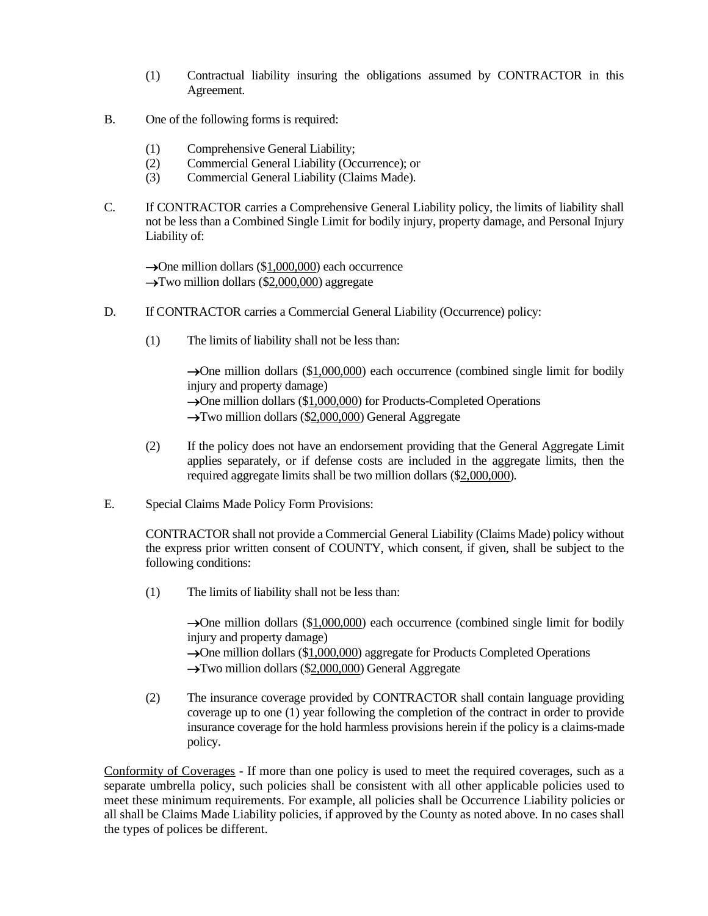- (1) Contractual liability insuring the obligations assumed by CONTRACTOR in this Agreement.
- B. One of the following forms is required:
	- (1) Comprehensive General Liability;
	- (2) Commercial General Liability (Occurrence); or
	- (3) Commercial General Liability (Claims Made).
- C. If CONTRACTOR carries a Comprehensive General Liability policy, the limits of liability shall not be less than a Combined Single Limit for bodily injury, property damage, and Personal Injury Liability of:

 $\rightarrow$ One million dollars (\$1,000,000) each occurrence  $\rightarrow$ Two million dollars (\$2,000,000) aggregate

- D. If CONTRACTOR carries a Commercial General Liability (Occurrence) policy:
	- (1) The limits of liability shall not be less than:

→One million dollars (\$1,000,000) each occurrence (combined single limit for bodily injury and property damage) →One million dollars (\$1,000,000) for Products-Completed Operations →Two million dollars (\$2,000,000) General Aggregate

- (2) If the policy does not have an endorsement providing that the General Aggregate Limit applies separately, or if defense costs are included in the aggregate limits, then the required aggregate limits shall be two million dollars (\$2,000,000).
- E. Special Claims Made Policy Form Provisions:

CONTRACTOR shall not provide a Commercial General Liability (Claims Made) policy without the express prior written consent of COUNTY, which consent, if given, shall be subject to the following conditions:

(1) The limits of liability shall not be less than:

→One million dollars (\$1,000,000) each occurrence (combined single limit for bodily injury and property damage)

→One million dollars (\$1,000,000) aggregate for Products Completed Operations →Two million dollars (\$2,000,000) General Aggregate

(2) The insurance coverage provided by CONTRACTOR shall contain language providing coverage up to one (1) year following the completion of the contract in order to provide insurance coverage for the hold harmless provisions herein if the policy is a claims-made policy.

Conformity of Coverages - If more than one policy is used to meet the required coverages, such as a separate umbrella policy, such policies shall be consistent with all other applicable policies used to meet these minimum requirements. For example, all policies shall be Occurrence Liability policies or all shall be Claims Made Liability policies, if approved by the County as noted above. In no cases shall the types of polices be different.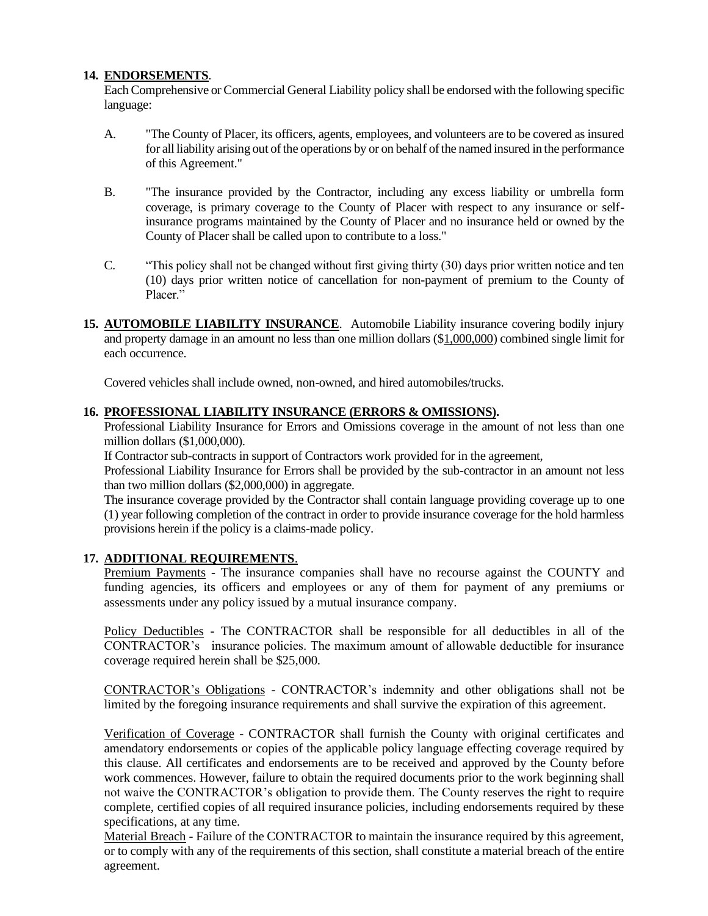### **14. ENDORSEMENTS**.

Each Comprehensive or Commercial General Liability policy shall be endorsed with the following specific language:

- A. "The County of Placer, its officers, agents, employees, and volunteers are to be covered as insured for all liability arising out of the operations by or on behalf of the named insured in the performance of this Agreement."
- B. "The insurance provided by the Contractor, including any excess liability or umbrella form coverage, is primary coverage to the County of Placer with respect to any insurance or selfinsurance programs maintained by the County of Placer and no insurance held or owned by the County of Placer shall be called upon to contribute to a loss."
- C. "This policy shall not be changed without first giving thirty (30) days prior written notice and ten (10) days prior written notice of cancellation for non-payment of premium to the County of Placer."
- **15. AUTOMOBILE LIABILITY INSURANCE**. Automobile Liability insurance covering bodily injury and property damage in an amount no less than one million dollars (\$1,000,000) combined single limit for each occurrence.

Covered vehicles shall include owned, non-owned, and hired automobiles/trucks.

#### **16. PROFESSIONAL LIABILITY INSURANCE (ERRORS & OMISSIONS).**

Professional Liability Insurance for Errors and Omissions coverage in the amount of not less than one million dollars (\$1,000,000).

If Contractor sub-contracts in support of Contractors work provided for in the agreement,

Professional Liability Insurance for Errors shall be provided by the sub-contractor in an amount not less than two million dollars (\$2,000,000) in aggregate.

The insurance coverage provided by the Contractor shall contain language providing coverage up to one (1) year following completion of the contract in order to provide insurance coverage for the hold harmless provisions herein if the policy is a claims-made policy.

## **17. ADDITIONAL REQUIREMENTS**.

Premium Payments - The insurance companies shall have no recourse against the COUNTY and funding agencies, its officers and employees or any of them for payment of any premiums or assessments under any policy issued by a mutual insurance company.

Policy Deductibles - The CONTRACTOR shall be responsible for all deductibles in all of the CONTRACTOR's insurance policies. The maximum amount of allowable deductible for insurance coverage required herein shall be \$25,000.

CONTRACTOR's Obligations - CONTRACTOR's indemnity and other obligations shall not be limited by the foregoing insurance requirements and shall survive the expiration of this agreement.

Verification of Coverage - CONTRACTOR shall furnish the County with original certificates and amendatory endorsements or copies of the applicable policy language effecting coverage required by this clause. All certificates and endorsements are to be received and approved by the County before work commences. However, failure to obtain the required documents prior to the work beginning shall not waive the CONTRACTOR's obligation to provide them. The County reserves the right to require complete, certified copies of all required insurance policies, including endorsements required by these specifications, at any time.

Material Breach - Failure of the CONTRACTOR to maintain the insurance required by this agreement, or to comply with any of the requirements of this section, shall constitute a material breach of the entire agreement.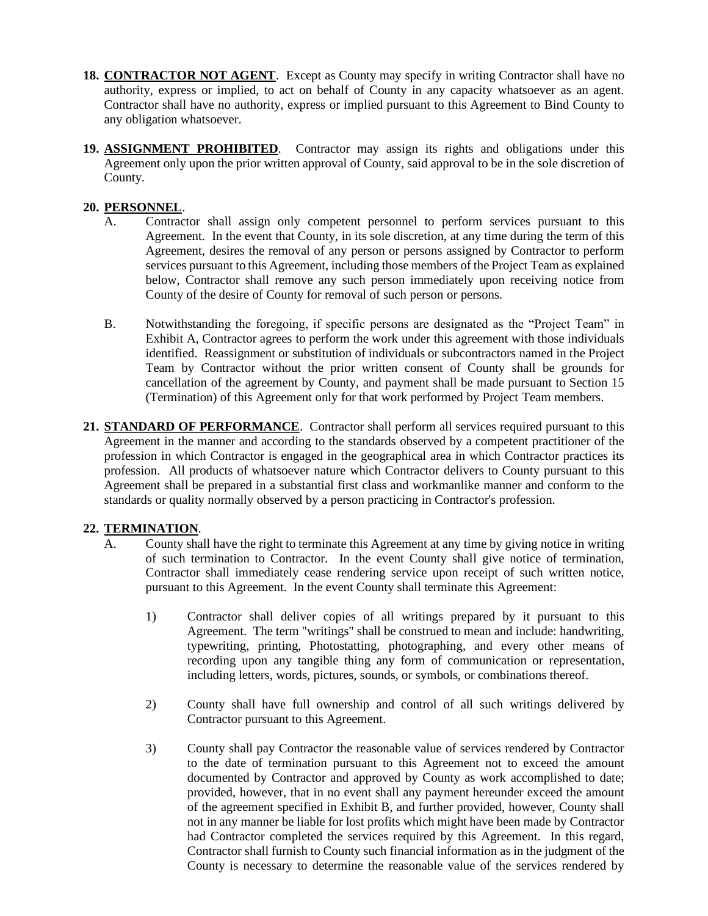- **18. CONTRACTOR NOT AGENT**. Except as County may specify in writing Contractor shall have no authority, express or implied, to act on behalf of County in any capacity whatsoever as an agent. Contractor shall have no authority, express or implied pursuant to this Agreement to Bind County to any obligation whatsoever.
- **19. ASSIGNMENT PROHIBITED**. Contractor may assign its rights and obligations under this Agreement only upon the prior written approval of County, said approval to be in the sole discretion of County.

#### **20. PERSONNEL**.

- A. Contractor shall assign only competent personnel to perform services pursuant to this Agreement. In the event that County, in its sole discretion, at any time during the term of this Agreement, desires the removal of any person or persons assigned by Contractor to perform services pursuant to this Agreement, including those members of the Project Team as explained below, Contractor shall remove any such person immediately upon receiving notice from County of the desire of County for removal of such person or persons.
- B. Notwithstanding the foregoing, if specific persons are designated as the "Project Team" in Exhibit A, Contractor agrees to perform the work under this agreement with those individuals identified. Reassignment or substitution of individuals or subcontractors named in the Project Team by Contractor without the prior written consent of County shall be grounds for cancellation of the agreement by County, and payment shall be made pursuant to Section 15 (Termination) of this Agreement only for that work performed by Project Team members.
- **21. STANDARD OF PERFORMANCE**. Contractor shall perform all services required pursuant to this Agreement in the manner and according to the standards observed by a competent practitioner of the profession in which Contractor is engaged in the geographical area in which Contractor practices its profession. All products of whatsoever nature which Contractor delivers to County pursuant to this Agreement shall be prepared in a substantial first class and workmanlike manner and conform to the standards or quality normally observed by a person practicing in Contractor's profession.

### **22. TERMINATION**.

- A. County shall have the right to terminate this Agreement at any time by giving notice in writing of such termination to Contractor. In the event County shall give notice of termination, Contractor shall immediately cease rendering service upon receipt of such written notice, pursuant to this Agreement. In the event County shall terminate this Agreement:
	- 1) Contractor shall deliver copies of all writings prepared by it pursuant to this Agreement. The term "writings" shall be construed to mean and include: handwriting, typewriting, printing, Photostatting, photographing, and every other means of recording upon any tangible thing any form of communication or representation, including letters, words, pictures, sounds, or symbols, or combinations thereof.
	- 2) County shall have full ownership and control of all such writings delivered by Contractor pursuant to this Agreement.
	- 3) County shall pay Contractor the reasonable value of services rendered by Contractor to the date of termination pursuant to this Agreement not to exceed the amount documented by Contractor and approved by County as work accomplished to date; provided, however, that in no event shall any payment hereunder exceed the amount of the agreement specified in Exhibit B, and further provided, however, County shall not in any manner be liable for lost profits which might have been made by Contractor had Contractor completed the services required by this Agreement. In this regard, Contractor shall furnish to County such financial information as in the judgment of the County is necessary to determine the reasonable value of the services rendered by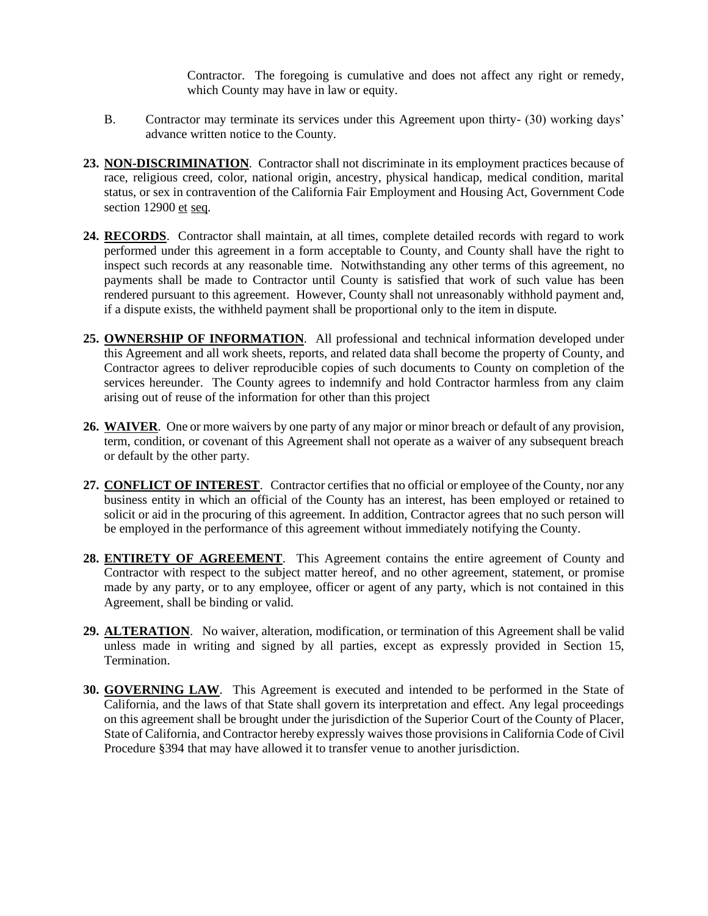Contractor. The foregoing is cumulative and does not affect any right or remedy, which County may have in law or equity.

- B. Contractor may terminate its services under this Agreement upon thirty- (30) working days' advance written notice to the County.
- **23. NON-DISCRIMINATION**. Contractor shall not discriminate in its employment practices because of race, religious creed, color, national origin, ancestry, physical handicap, medical condition, marital status, or sex in contravention of the California Fair Employment and Housing Act, Government Code section 12900 et seq.
- **24. RECORDS**. Contractor shall maintain, at all times, complete detailed records with regard to work performed under this agreement in a form acceptable to County, and County shall have the right to inspect such records at any reasonable time. Notwithstanding any other terms of this agreement, no payments shall be made to Contractor until County is satisfied that work of such value has been rendered pursuant to this agreement. However, County shall not unreasonably withhold payment and, if a dispute exists, the withheld payment shall be proportional only to the item in dispute.
- **25. OWNERSHIP OF INFORMATION**. All professional and technical information developed under this Agreement and all work sheets, reports, and related data shall become the property of County, and Contractor agrees to deliver reproducible copies of such documents to County on completion of the services hereunder. The County agrees to indemnify and hold Contractor harmless from any claim arising out of reuse of the information for other than this project
- **26. WAIVER**. One or more waivers by one party of any major or minor breach or default of any provision, term, condition, or covenant of this Agreement shall not operate as a waiver of any subsequent breach or default by the other party.
- **27. CONFLICT OF INTEREST**. Contractor certifies that no official or employee of the County, nor any business entity in which an official of the County has an interest, has been employed or retained to solicit or aid in the procuring of this agreement. In addition, Contractor agrees that no such person will be employed in the performance of this agreement without immediately notifying the County.
- **28. ENTIRETY OF AGREEMENT**. This Agreement contains the entire agreement of County and Contractor with respect to the subject matter hereof, and no other agreement, statement, or promise made by any party, or to any employee, officer or agent of any party, which is not contained in this Agreement, shall be binding or valid.
- **29. ALTERATION**. No waiver, alteration, modification, or termination of this Agreement shall be valid unless made in writing and signed by all parties, except as expressly provided in Section 15, Termination.
- **30. GOVERNING LAW**. This Agreement is executed and intended to be performed in the State of California, and the laws of that State shall govern its interpretation and effect. Any legal proceedings on this agreement shall be brought under the jurisdiction of the Superior Court of the County of Placer, State of California, and Contractor hereby expressly waives those provisions in California Code of Civil Procedure §394 that may have allowed it to transfer venue to another jurisdiction.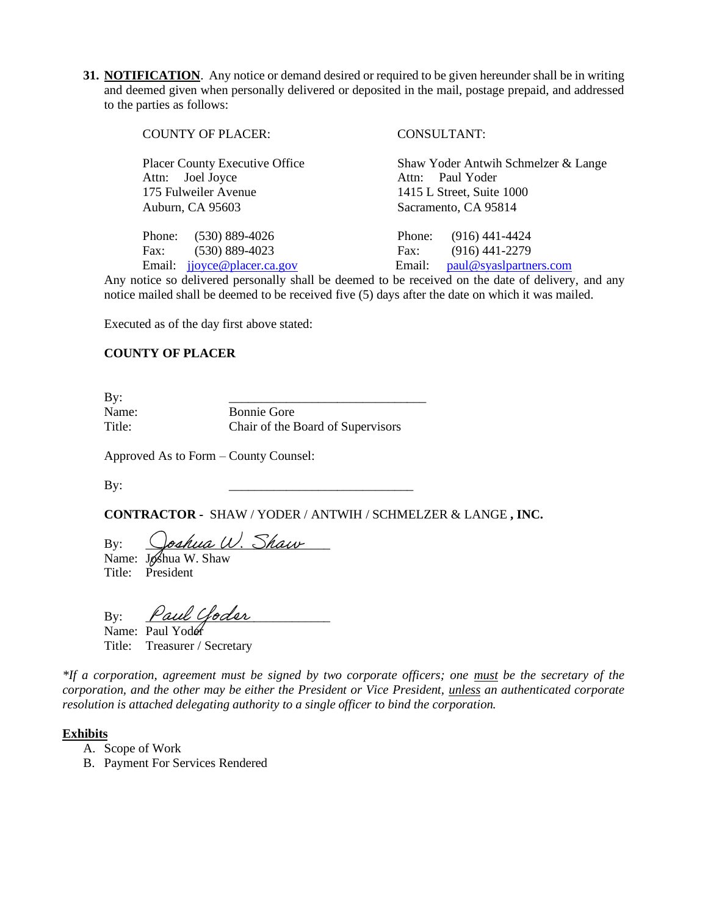**31. NOTIFICATION**. Any notice or demand desired or required to be given hereunder shall be in writing and deemed given when personally delivered or deposited in the mail, postage prepaid, and addressed to the parties as follows:

| <b>COUNTY OF PLACER:</b>       | CONSULTANT:                         |
|--------------------------------|-------------------------------------|
| Placer County Executive Office | Shaw Yoder Antwih Schmelzer & Lange |
| Attn: Joel Joyce               | Attn: Paul Yoder                    |
| 175 Fulweiler Avenue           | 1415 L Street, Suite 1000           |
| Auburn, CA 95603               | Sacramento, CA 95814                |
| $(530)$ 889-4026               | $(916)$ 441-4424                    |
| Phone:                         | Phone:                              |
| $(530) 889 - 4023$             | $(916)$ 441-2279                    |
| Fax:                           | Fax:                                |
| jjoyce@placer.ca.gov           | paul@syaslpartners.com              |
| Email:                         | Email:                              |

Any notice so delivered personally shall be deemed to be received on the date of delivery, and any notice mailed shall be deemed to be received five (5) days after the date on which it was mailed.

Executed as of the day first above stated:

#### **COUNTY OF PLACER**

By: \_\_\_\_\_\_\_\_\_\_\_\_\_\_\_\_\_\_\_\_\_\_\_\_\_\_\_\_\_\_\_

Name: Bonnie Gore Title: Chair of the Board of Supervisors

Approved As to Form – County Counsel:

By: \_\_\_\_\_\_\_\_\_\_\_\_\_\_\_\_\_\_\_\_\_\_\_\_\_\_\_\_\_

**CONTRACTOR -** SHAW / YODER / ANTWIH / SCHMELZER & LANGE **, INC.**

By: Qoshua W. Shaw Name: Joshua W. Shaw

Title: President

By: *Paul Goder* 

Name: Paul Yoder Title: Treasurer / Secretary

*\*If a corporation, agreement must be signed by two corporate officers; one must be the secretary of the corporation, and the other may be either the President or Vice President, unless an authenticated corporate resolution is attached delegating authority to a single officer to bind the corporation.*

#### **Exhibits**

- A. Scope of Work
- B. Payment For Services Rendered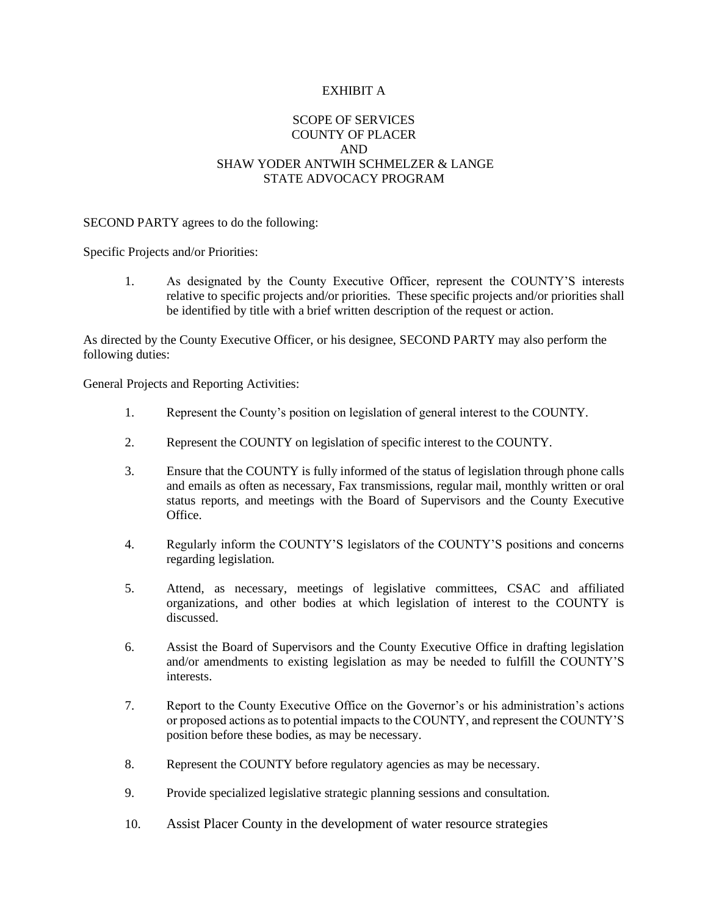#### EXHIBIT A

#### SCOPE OF SERVICES COUNTY OF PLACER AND SHAW YODER ANTWIH SCHMELZER & LANGE STATE ADVOCACY PROGRAM

#### SECOND PARTY agrees to do the following:

Specific Projects and/or Priorities:

1. As designated by the County Executive Officer, represent the COUNTY'S interests relative to specific projects and/or priorities. These specific projects and/or priorities shall be identified by title with a brief written description of the request or action.

As directed by the County Executive Officer, or his designee, SECOND PARTY may also perform the following duties:

General Projects and Reporting Activities:

- 1. Represent the County's position on legislation of general interest to the COUNTY.
- 2. Represent the COUNTY on legislation of specific interest to the COUNTY.
- 3. Ensure that the COUNTY is fully informed of the status of legislation through phone calls and emails as often as necessary, Fax transmissions, regular mail, monthly written or oral status reports, and meetings with the Board of Supervisors and the County Executive Office.
- 4. Regularly inform the COUNTY'S legislators of the COUNTY'S positions and concerns regarding legislation.
- 5. Attend, as necessary, meetings of legislative committees, CSAC and affiliated organizations, and other bodies at which legislation of interest to the COUNTY is discussed.
- 6. Assist the Board of Supervisors and the County Executive Office in drafting legislation and/or amendments to existing legislation as may be needed to fulfill the COUNTY'S interests.
- 7. Report to the County Executive Office on the Governor's or his administration's actions or proposed actions as to potential impacts to the COUNTY, and represent the COUNTY'S position before these bodies, as may be necessary.
- 8. Represent the COUNTY before regulatory agencies as may be necessary.
- 9. Provide specialized legislative strategic planning sessions and consultation.
- 10. Assist Placer County in the development of water resource strategies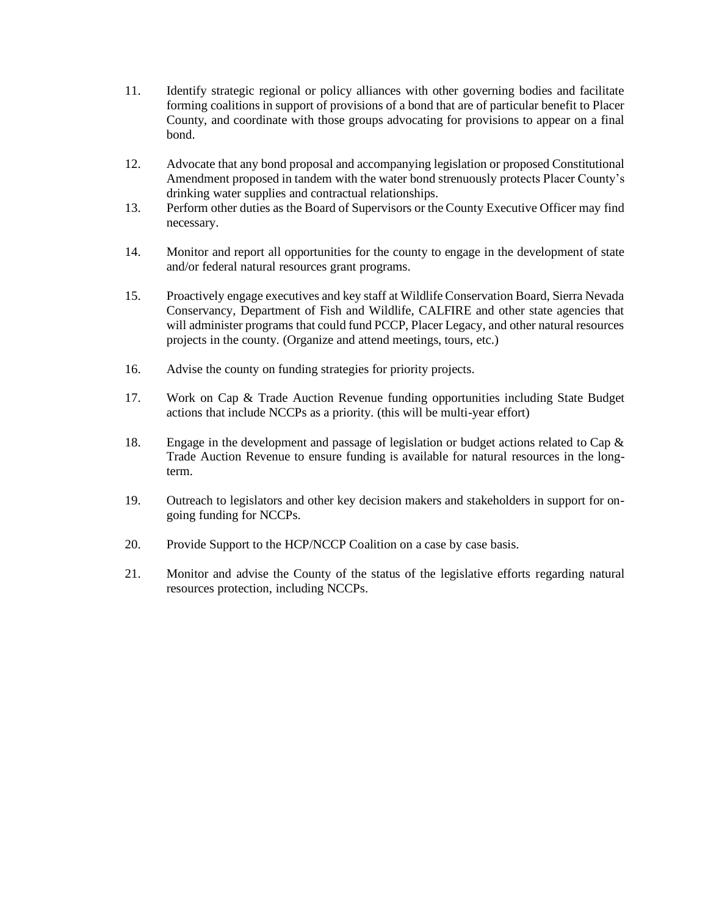- 11. Identify strategic regional or policy alliances with other governing bodies and facilitate forming coalitions in support of provisions of a bond that are of particular benefit to Placer County, and coordinate with those groups advocating for provisions to appear on a final bond.
- 12. Advocate that any bond proposal and accompanying legislation or proposed Constitutional Amendment proposed in tandem with the water bond strenuously protects Placer County's drinking water supplies and contractual relationships.
- 13. Perform other duties as the Board of Supervisors or the County Executive Officer may find necessary.
- 14. Monitor and report all opportunities for the county to engage in the development of state and/or federal natural resources grant programs.
- 15. Proactively engage executives and key staff at Wildlife Conservation Board, Sierra Nevada Conservancy, Department of Fish and Wildlife, CALFIRE and other state agencies that will administer programs that could fund PCCP, Placer Legacy, and other natural resources projects in the county. (Organize and attend meetings, tours, etc.)
- 16. Advise the county on funding strategies for priority projects.
- 17. Work on Cap & Trade Auction Revenue funding opportunities including State Budget actions that include NCCPs as a priority. (this will be multi-year effort)
- 18. Engage in the development and passage of legislation or budget actions related to Cap & Trade Auction Revenue to ensure funding is available for natural resources in the longterm.
- 19. Outreach to legislators and other key decision makers and stakeholders in support for ongoing funding for NCCPs.
- 20. Provide Support to the HCP/NCCP Coalition on a case by case basis.
- 21. Monitor and advise the County of the status of the legislative efforts regarding natural resources protection, including NCCPs.